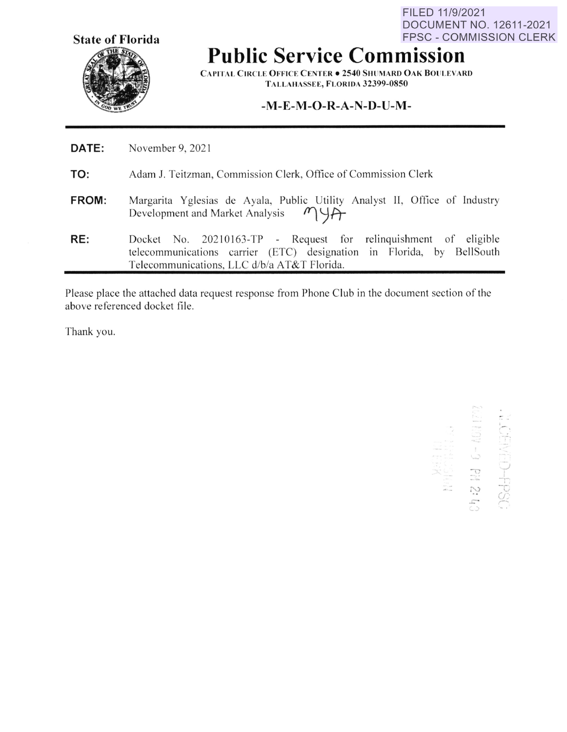**State of Florida** 

FILED 11/9/2021 DOCUMENT NO. 12611-2021 **FPSC - COMMISSION CLERK** 

## **Public Service Commission**

**CAPITAL CIRCLE OFFICE CENTER . 2540 SHUMARD OAK BOULEVARD** TALLAHASSEE, FLORIDA 32399-0850

## $-M-E-M-O-R-A-N-D-U-M-$

- DATE: November 9, 2021
- TO: Adam J. Teitzman, Commission Clerk, Office of Commission Clerk
- Margarita Yglesias de Ayala, Public Utility Analyst II, Office of Industry FROM: Development and Market Analysis MYA
- RE: 20210163-TP - Request for relinquishment of eligible Docket No. telecommunications carrier (ETC) designation in Florida, by BellSouth Telecommunications, LLC d/b/a AT&T Florida.

Please place the attached data request response from Phone Club in the document section of the above referenced docket file.

Thank you.

Ching Hall GH Nation<br>COSCIP-CEMENT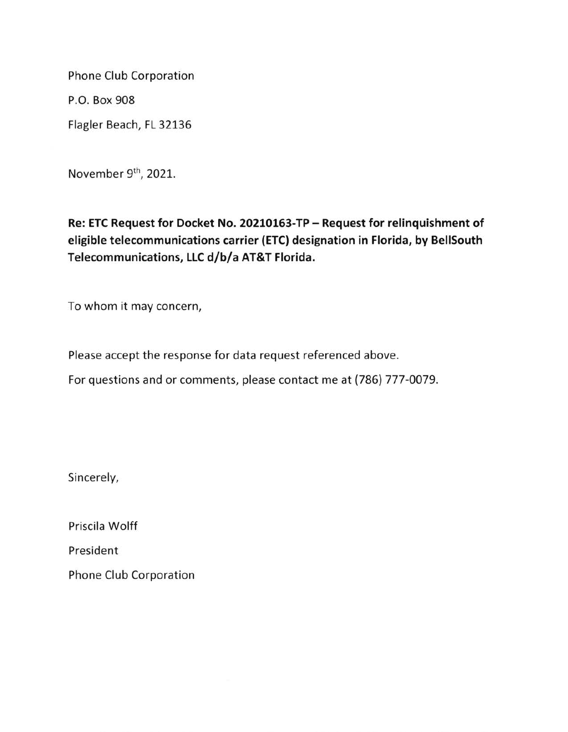Phone Club Corporation P.O. Box 908 Flagler Beach, FL 32136

November 9<sup>th</sup>, 2021.

**Re: ETC Request for Docket No. 20210163-TP- Request for relinquishment of eligible telecommunications carrier (ETC) designation in Florida, by BellSouth Telecommunications, LLC d/b/a AT&T Florida.** 

To whom it may concern,

Please accept the response for data request referenced above.

For questions and or comments, please contact me at (786) 777-0079.

Sincerely,

Priscila Wolff

President

Phone Club Corporation